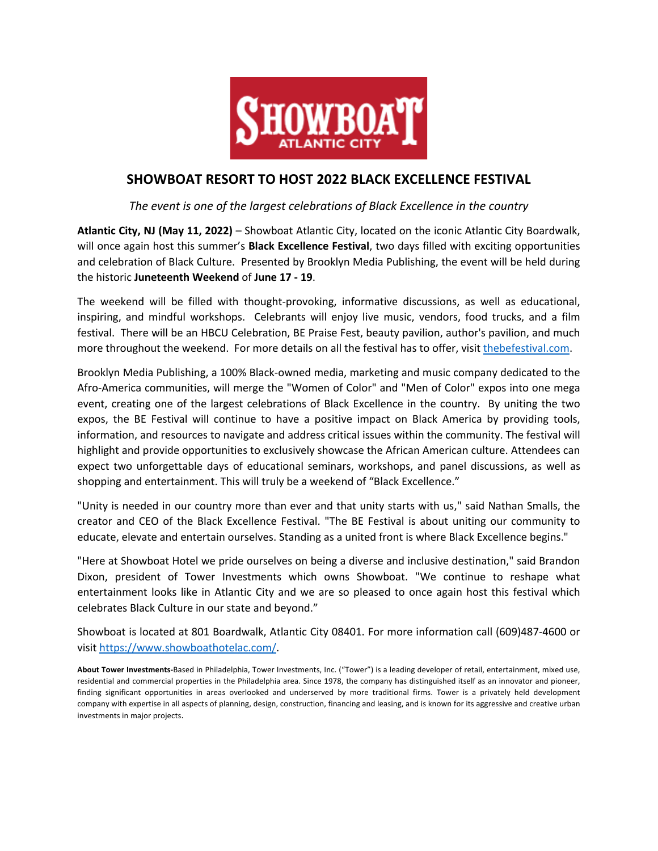

## **SHOWBOAT RESORT TO HOST 2022 BLACK EXCELLENCE FESTIVAL**

## *The event is one of the largest celebrations of Black Excellence in the country*

**Atlantic City, NJ (May 11, 2022)** – Showboat Atlantic City, located on the iconic Atlantic City Boardwalk, will once again host this summer's **Black Excellence Festival**, two days filled with exciting opportunities and celebration of Black Culture. Presented by Brooklyn Media Publishing, the event will be held during the historic **Juneteenth Weekend** of **June 17 - 19**.

The weekend will be filled with thought-provoking, informative discussions, as well as educational, inspiring, and mindful workshops. Celebrants will enjoy live music, vendors, food trucks, and a film festival. There will be an HBCU Celebration, BE Praise Fest, beauty pavilion, author's pavilion, and much more throughout the weekend. For more details on all the festival has to offer, visit thebefestival.com.

Brooklyn Media Publishing, a 100% Black-owned media, marketing and music company dedicated to the Afro-America communities, will merge the "Women of Color" and "Men of Color" expos into one mega event, creating one of the largest celebrations of Black Excellence in the country. By uniting the two expos, the BE Festival will continue to have a positive impact on Black America by providing tools, information, and resources to navigate and address critical issues within the community. The festival will highlight and provide opportunities to exclusively showcase the African American culture. Attendees can expect two unforgettable days of educational seminars, workshops, and panel discussions, as well as shopping and entertainment. This will truly be a weekend of "Black Excellence."

"Unity is needed in our country more than ever and that unity starts with us," said Nathan Smalls, the creator and CEO of the Black Excellence Festival. "The BE Festival is about uniting our community to educate, elevate and entertain ourselves. Standing as a united front is where Black Excellence begins."

"Here at Showboat Hotel we pride ourselves on being a diverse and inclusive destination," said Brandon Dixon, president of Tower Investments which owns Showboat. "We continue to reshape what entertainment looks like in Atlantic City and we are so pleased to once again host this festival which celebrates Black Culture in our state and beyond."

Showboat is located at 801 Boardwalk, Atlantic City 08401. For more information call (609)487-4600 or visit https://www.showboathotelac.com/.

**About Tower Investments-**Based in Philadelphia, Tower Investments, Inc. ("Tower") is a leading developer of retail, entertainment, mixed use, residential and commercial properties in the Philadelphia area. Since 1978, the company has distinguished itself as an innovator and pioneer, finding significant opportunities in areas overlooked and underserved by more traditional firms. Tower is a privately held development company with expertise in all aspects of planning, design, construction, financing and leasing, and is known for its aggressive and creative urban investments in major projects.